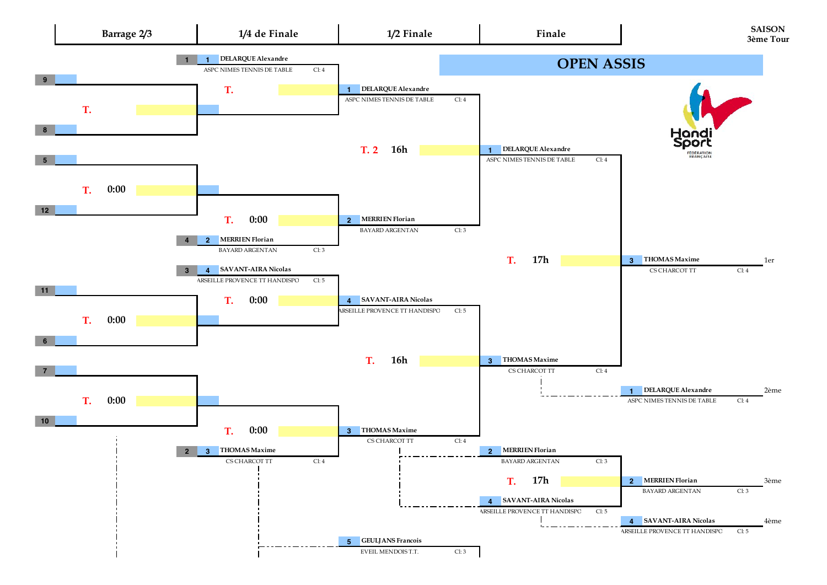